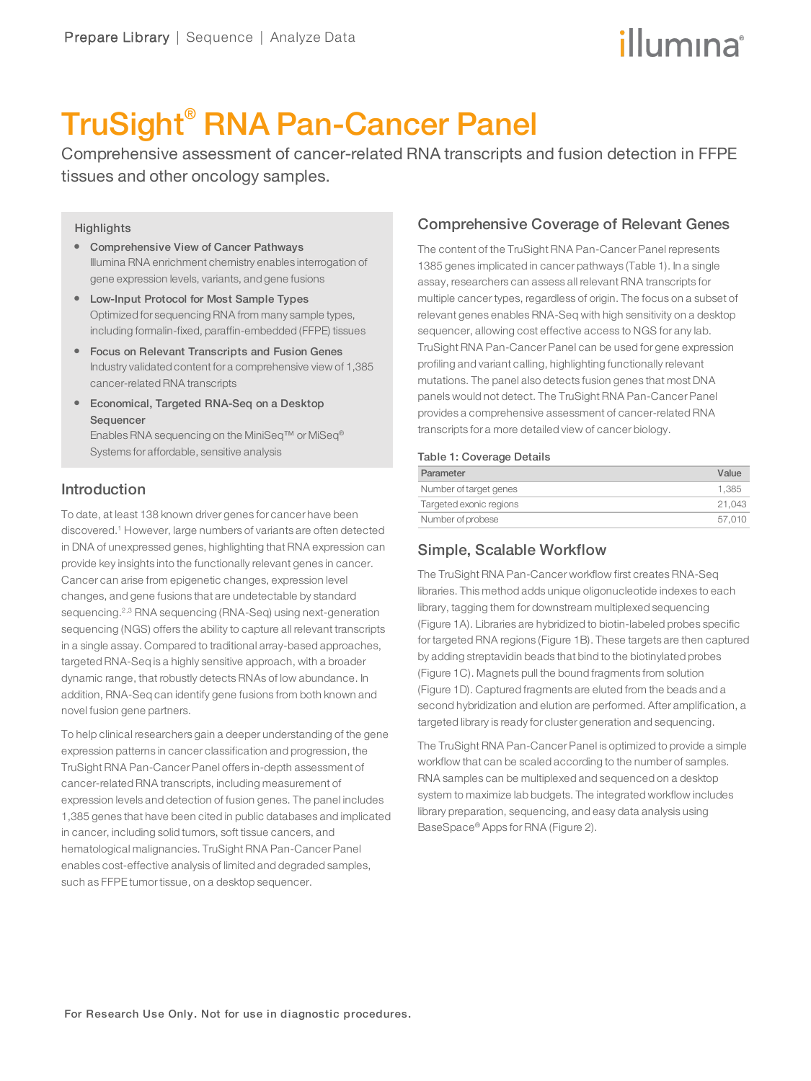# illumına

# TruSight® RNA Pan-Cancer Panel

Comprehensive assessment of cancer-related RNA transcripts and fusion detection in FFPE tissues and other oncology samples.

### **Highlights**

- **Comprehensive View of Cancer Pathways** Illumina RNA enrichment chemistry enables interrogation of gene expression levels, variants, and gene fusions
- Low-Input Protocol for Most Sample Types Optimized for sequencing RNA from many sample types, including formalin-fixed, paraffin-embedded (FFPE) tissues
- **•** Focus on Relevant Transcripts and Fusion Genes Industry validated content for a comprehensive view of 1,385 cancer-related RNA transcripts
- **Economical, Targeted RNA-Seq on a Desktop** Sequencer Enables RNA sequencing on the MiniSeq™ or MiSeq® Systems for affordable, sensitive analysis

# Introduction

To date, at least 138 known driver genes for cancer have been discovered.<sup>1</sup> However, large numbers of variants are often detected in DNA of unexpressed genes, highlighting that RNA expression can provide key insights into the functionally relevant genes in cancer. Cancer can arise from epigenetic changes, expression level changes, and gene fusions that are undetectable by standard sequencing.<sup>2,3</sup> RNA sequencing (RNA-Seg) using next-generation sequencing (NGS) offers the ability to capture all relevant transcripts in a single assay. Compared to traditional array-based approaches, targeted RNA-Seq is a highly sensitive approach, with a broader dynamic range, that robustly detects RNAs of low abundance. In addition, RNA-Seq can identify gene fusions from both known and novel fusion gene partners.

To help clinical researchers gain a deeper understanding of the gene expression patterns in cancer classification and progression, the TruSight RNA Pan-Cancer Panel offers in-depth assessment of cancer-related RNA transcripts, including measurement of expression levels and detection of fusion genes. The panel includes 1,385 genes that have been cited in public databases and implicated in cancer, including solid tumors, soft tissue cancers, and hematological malignancies. TruSight RNA Pan-Cancer Panel enables cost-effective analysis of limited and degraded samples, such as FFPE tumor tissue, on a desktop sequencer.

# Comprehensive Coverage of Relevant Genes

The content of the TruSight RNA Pan-Cancer Panel represents 1385 genes implicated in cancer pathways (Table 1). In a single assay, researchers can assess all relevant RNA transcripts for multiple cancer types, regardless of origin. The focus on a subset of relevant genes enables RNA-Seq with high sensitivity on a desktop sequencer, allowing cost effective access to NGS for any lab. TruSight RNA Pan-Cancer Panel can be used for gene expression profiling and variant calling, highlighting functionally relevant mutations. The panel also detects fusion genes that most DNA panels would not detect. The TruSight RNA Pan-Cancer Panel provides a comprehensive assessment of cancer-related RNA transcripts for a more detailed view of cancer biology.

#### Table 1: Coverage Details

| Parameter               | Value  |
|-------------------------|--------|
| Number of target genes  | 1.385  |
| Targeted exonic regions | 21.043 |
| Number of probese       | 57.010 |

# Simple, Scalable Workflow

The TruSight RNA Pan-Cancer workflow first creates RNA-Seq libraries. This method adds unique oligonucleotide indexes to each library, tagging them for downstream multiplexed sequencing (Figure 1A). Libraries are hybridized to biotin-labeled probes specific for targeted RNA regions (Figure 1B). These targets are then captured by adding streptavidin beads that bind to the biotinylated probes (Figure 1C). Magnets pull the bound fragments from solution (Figure 1D). Captured fragments are eluted from the beads and a second hybridization and elution are performed. After amplification, a targeted library is ready for cluster generation and sequencing.

The TruSight RNA Pan-Cancer Panel is optimized to provide a simple workflow that can be scaled according to the number of samples. RNA samples can be multiplexed and sequenced on a desktop system to maximize lab budgets. The integrated workflow includes library preparation, sequencing, and easy data analysis using BaseSpace® Apps for RNA (Figure 2).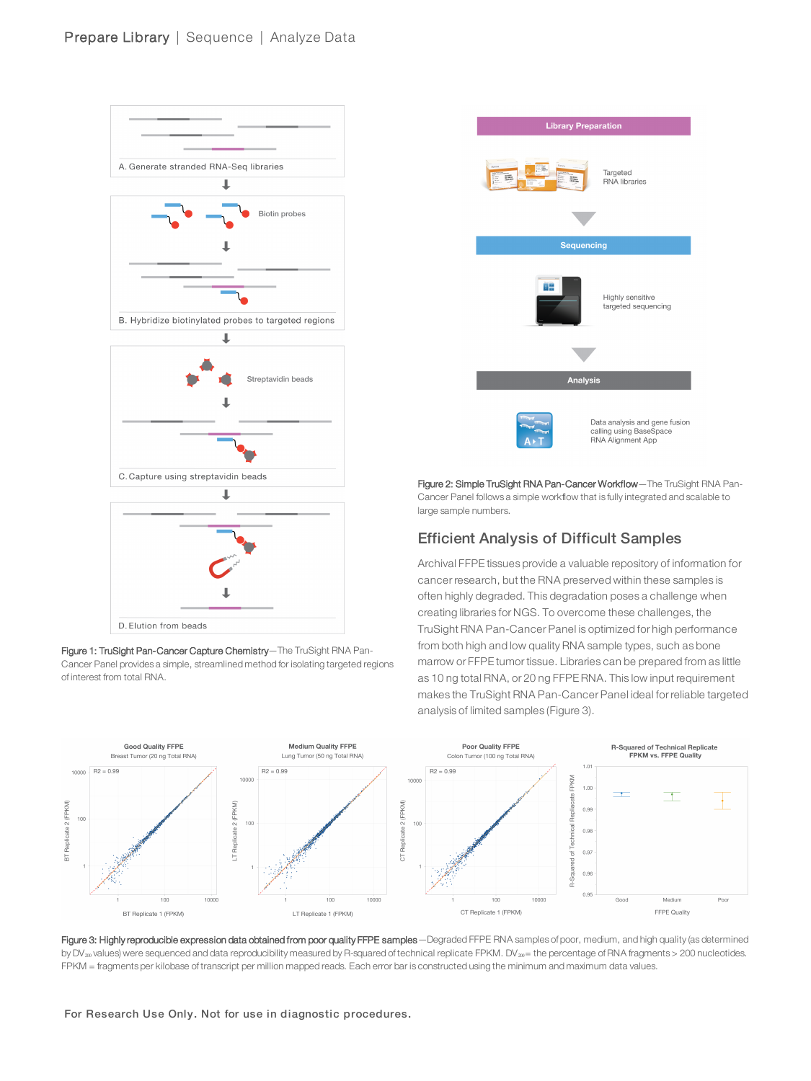





Figure 2: Simple TruSight RNA Pan-Cancer Workflow—The TruSight RNA Pan-Cancer Panel follows a simple workflow that is fully integrated and scalable to large sample numbers.

# Efficient Analysis of Difficult Samples

Archival FFPE tissues provide a valuable repository of information for cancer research, but the RNA preserved within these samples is often highly degraded. This degradation poses a challenge when creating libraries for NGS. To overcome these challenges, the TruSight RNA Pan-Cancer Panel is optimized for high performance from both high and low quality RNA sample types, such as bone marrow or FFPE tumor tissue. Libraries can be prepared from as little as 10 ng total RNA, or 20 ng FFPE RNA. This low input requirement makes the TruSight RNA Pan-Cancer Panel ideal for reliable targeted analysis of limited samples (Figure 3).



Figure 3: Highly reproducible expression data obtained from poor quality FFPE samples - Degraded FFPE RNA samples of poor, medium, and high quality (as determined by DV<sub>20</sub> values) were sequenced and data reproducibility measured by R-squared of technical replicate FPKM. DV<sub>20</sub>= the percentage of RNA fragments > 200 nucleotides. FPKM = fragments per kilobase of transcript per million mapped reads. Each error bar is constructed using the minimum and maximum data values.

For Research Use Only. Not for use in diagnostic procedures.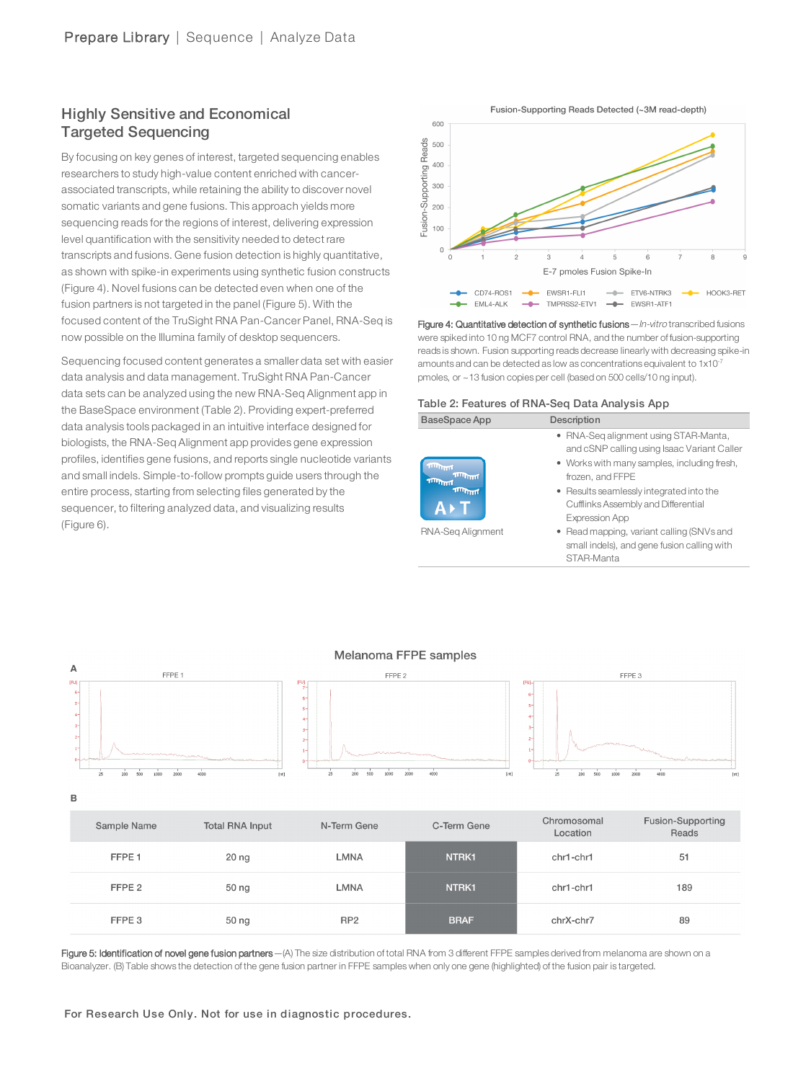# Highly Sensitive and Economical Targeted Sequencing

By focusing on key genes of interest, targeted sequencing enables researchers to study high-value content enriched with cancerassociated transcripts, while retaining the ability to discover novel somatic variants and gene fusions. This approach yields more sequencing reads for the regions of interest, delivering expression level quantification with the sensitivity needed to detect rare transcripts and fusions. Gene fusion detection is highly quantitative, as shown with spike-in experiments using synthetic fusion constructs (Figure 4). Novel fusions can be detected even when one of the fusion partners is not targeted in the panel (Figure 5). With the focused content of the TruSight RNA Pan-Cancer Panel, RNA-Seq is now possible on the Illumina family of desktop sequencers.

Sequencing focused content generates a smaller data set with easier data analysis and data management. TruSight RNA Pan-Cancer data sets can be analyzed using the new RNA-Seq Alignment app in the BaseSpace environment (Table 2). Providing expert-preferred data analysis tools packaged in an intuitive interface designed for biologists, the RNA-Seq Alignment app provides gene expression profiles, identifies gene fusions, and reports single nucleotide variants and small indels. Simple-to-follow prompts guide users through the entire process, starting from selecting files generated by the sequencer, to filtering analyzed data, and visualizing results (Figure 6).



Figure 4: Quantitative detection of synthetic fusions - In-vitro transcribed fusions were spiked into 10 ng MCF7 control RNA, and the number of fusion-supporting reads is shown. Fusion supporting reads decrease linearly with decreasing spike-in amounts and can be detected as low as concentrations equivalent to 1x10-7 pmoles, or ~13 fusion copies per cell (based on 500 cells/10 ng input).

#### Table 2: Features of RNA-Seq Data Analysis App

| BaseSpace App                                           | Description                                                                                              |
|---------------------------------------------------------|----------------------------------------------------------------------------------------------------------|
|                                                         | • RNA-Seg alignment using STAR-Manta,<br>and cSNP calling using Isaac Variant Caller                     |
| <b>ATTENTION</b><br><b>THURSDAY</b><br><b>THURSDAY</b>  | • Works with many samples, including fresh,<br>frozen, and FFPE                                          |
| TILLING<br>$\mathbf{A} \mathbf{\rightarrow} \mathbf{T}$ | • Results seamlessly integrated into the<br>Cufflinks Assembly and Differential<br><b>Expression App</b> |
| RNA-Seg Alignment                                       | • Read mapping, variant calling (SNVs and<br>small indels), and gene fusion calling with                 |

STAR-Manta



Figure 5: Identification of novel gene fusion partners -(A) The size distribution of total RNA from 3 different FFPE samples derived from melanoma are shown on a Bioanalyzer. (B) Table shows the detection of the gene fusion partner in FFPE samples when only one gene (highlighted) of the fusion pair is targeted.

For Research Use Only. Not for use in diagnostic procedures.

#### Melanoma FFPE samples